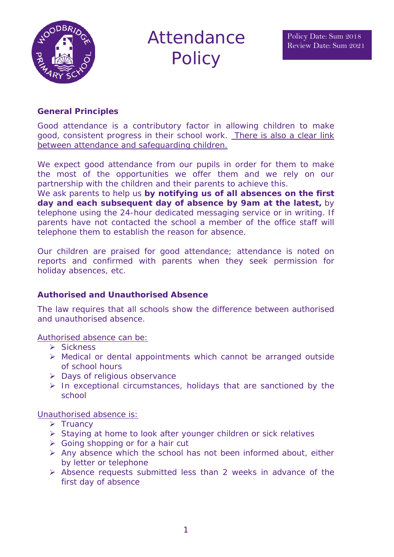

# Attendance **Policy**

# **General Principles**

Good attendance is a contributory factor in allowing children to make good, consistent progress in their school work. There is also a clear link between attendance and safeguarding children.

We expect good attendance from our pupils in order for them to make the most of the opportunities we offer them and we rely on our partnership with the children and their parents to achieve this.

We ask parents to help us **by notifying us of all absences on the first day and each subsequent day of absence by 9am at the latest,** by telephone using the 24-hour dedicated messaging service or in writing. If parents have not contacted the school a member of the office staff will telephone them to establish the reason for absence.

Our children are praised for good attendance; attendance is noted on reports and confirmed with parents when they seek permission for holiday absences, etc.

### **Authorised and Unauthorised Absence**

The law requires that all schools show the difference between authorised and unauthorised absence.

Authorised absence can be:

- $\triangleright$  Sickness
- Medical or dental appointments which cannot be arranged outside of school hours
- > Days of religious observance
- $\triangleright$  In exceptional circumstances, holidays that are sanctioned by the school

Unauthorised absence is:

- $\triangleright$  Truancy
- $\triangleright$  Staying at home to look after younger children or sick relatives
- $\triangleright$  Going shopping or for a hair cut
- $\triangleright$  Any absence which the school has not been informed about, either by letter or telephone
- Absence requests submitted less than 2 weeks in advance of the first day of absence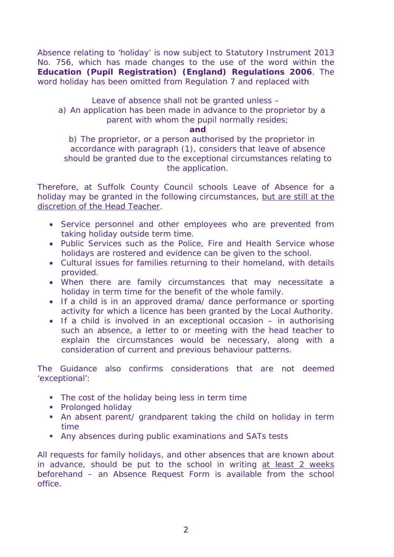Absence relating to 'holiday' is now subject to Statutory Instrument 2013 No. 756, which has made changes to the use of the word within the **Education (Pupil Registration) (England) Regulations 2006**. The word holiday has been omitted from Regulation 7 and replaced with

Leave of absence shall not be granted unless –

a) An application has been made in advance to the proprietor by a parent with whom the pupil normally resides;

**and**

b) The proprietor, or a person authorised by the proprietor in accordance with paragraph (1), considers that leave of absence should be granted due to the exceptional circumstances relating to the application.

Therefore, at Suffolk County Council schools Leave of Absence for a holiday may be granted in the following circumstances, but are still at the discretion of the Head Teacher.

- Service personnel and other employees who are prevented from taking holiday outside term time.
- Public Services such as the Police, Fire and Health Service whose holidays are rostered and evidence can be given to the school.
- Cultural issues for families returning to their homeland, with details provided.
- When there are family circumstances that may necessitate a holiday in term time for the benefit of the whole family.
- If a child is in an approved drama/ dance performance or sporting activity for which a licence has been granted by the Local Authority.
- If a child is involved in an exceptional occasion in authorising such an absence, a letter to or meeting with the head teacher to explain the circumstances would be necessary, along with a consideration of current and previous behaviour patterns.

The Guidance also confirms considerations that are not deemed 'exceptional':

- The cost of the holiday being less in term time
- **Prolonged holiday**
- An absent parent/ grandparent taking the child on holiday in term time
- Any absences during public examinations and SATs tests

All requests for family holidays, and other absences that are known about in advance, should be put to the school in writing at least 2 weeks beforehand – an Absence Request Form is available from the school office.